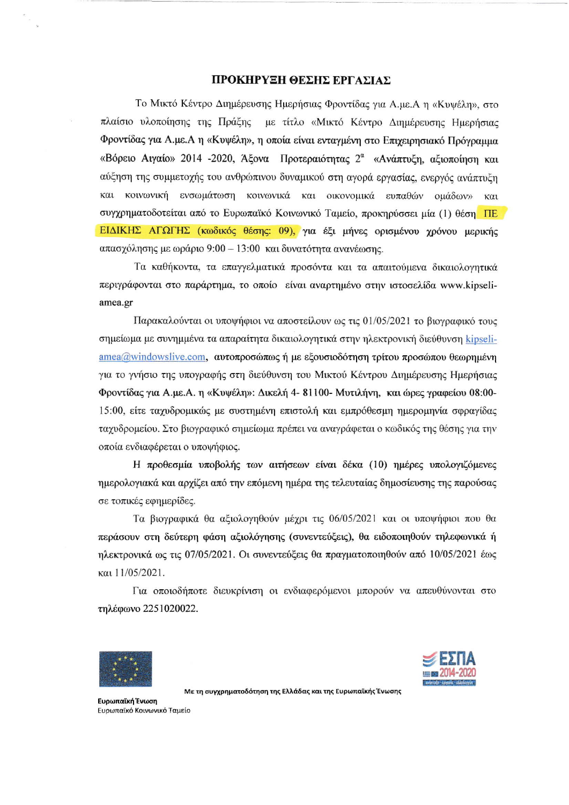#### TIPOKEPYEH OEEID EPTAEIAX

To Μικτό Κέντρο Διημέρευσης Ημερήσιας Φροντίδας για Α.με.Α η «Κυψέλη», στο πλαίσιο υλοποίησης της Πράξης με τίτλο «Μικτό Κέντρο Διημέρευσης Ημερήσιας Φροντίδας για Α.με.Α η «Κυψέλη», η οποία είναι ενταγμένη στο Επιχειρησιακό Πρόγραμμα «Βόρειο Αιγαίο» 2014 -2020, Άξονα Προτεραιότητας 2<sup>α</sup> «Ανάπτυξη, αξιοποίηση και αύξηση της συμμετοχής του ανθρώπινου δυναμικού στη αγορά εργασίας, ενεργός ανάπτυξη και κοινωνική ενσωμάτωση κοινωνικά και οικονομικά ευπαθών ομάδων» και συγχρηματοδοτείται από το Ευρωπαϊκό Κοινωνικό Ταμείο, προκηρύσσει μία (1) θέση ΠΕ ΕΙΔΙΚΗΣ ΑΓΩΓΗΣ (κωδικός θέσης: 09), για έξι μήνες ορισμένου γρόνου μερικής  $\alpha\pi\alpha\sigma\gamma$ όλησης με ωράριο 9:00 - 13:00 και δυνατότητα ανανέωσης.

Tα καθήκοντα, τα επαγγελματικά προσόντα και τα απαιτούμενα δικαιολογητικά περιγράφονται στο παράρτημα, το οποίο είναι αναρτημένο στην ιστοσελίδα www.kipseliamea.gr

Παρακαλούνται οι υποψήφιοι να αποστείλουν ως τις 01/05/2021 το βιογραφικό τους σημείωμα με συνημμένα τα απαραίτητα δικαιολογητικά στην ηλεκτρονική διεύθυνση kipseli- $\text{area}$ @windowslive.com,  $\alpha$   $\alpha$   $\alpha$   $\rho$   $\alpha$   $\alpha$   $\alpha$   $\alpha$   $\beta$   $\alpha$   $\alpha$   $\beta$   $\alpha$   $\alpha$   $\alpha$   $\beta$   $\alpha$   $\alpha$   $\beta$   $\alpha$   $\alpha$   $\beta$   $\alpha$   $\alpha$   $\beta$   $\alpha$   $\alpha$   $\beta$   $\alpha$   $\alpha$   $\beta$   $\alpha$   $\alpha$   $\beta$   $\alpha$   $\alpha$   $\beta$   $\alpha$   $\alpha$  για το γνήσιο της υπογραφής στη διεύθυνση του Μικτού Κέντρου Διημέρευσης Ημερήσιας Φροντίδας για Α.με.Α. η «Κυψέλη»: Δικελή 4-81100- Μυτιλήνη, και ώρες γραφείου 08:00-15:00, είτε ταχυδρομικώς με συστημένη επιστολή και εμπρόθεσμη ημερομηνία σφραγίδας ταγυδρομείου. Στο βιογραφικό σημείωμα πρέπει να αναγράφεται ο κωδικός της θέσης για την onota ev8ragepcror o uzroyrlqroq.

H προθεσμία υποβολής των αιτήσεων είναι δέκα (10) ημέρες υπολογιζόμενες ημερολογιακά και αρχίζει από την επόμενη ημέρα της τελευταίας δημοσίευσης της παρούσας σε τοπικές εφημερίδες.

Tα βιογραφικά θα αξιολογηθούν μέχρι τις 06/05/2021 και οι υποψήφιοι που θα περάσουν στη δεύτερη φάση αξιολόγησης (συνεντεύξεις), θα ειδοποιηθούν τηλεφωνικά ή  $\eta$ λεκτρονικά ως τις 07/05/2021. Οι συνεντεύξεις θα πραγματοποιηθούν από 10/05/2021 έως ratl1105/2021.

Για οποιοδήποτε διευκρίνιση οι ενδιαφερόμενοι μπορούν να απευθύνονται στο τηλέφωνο 2251020022.





Με τη συγχρηματοδότηση της Ελλάδας και της Ευρωπαϊκής Ένωσης

Ευρωπαϊκή Ένωση Eυρωπαϊκό Koινωνικό Tαμείο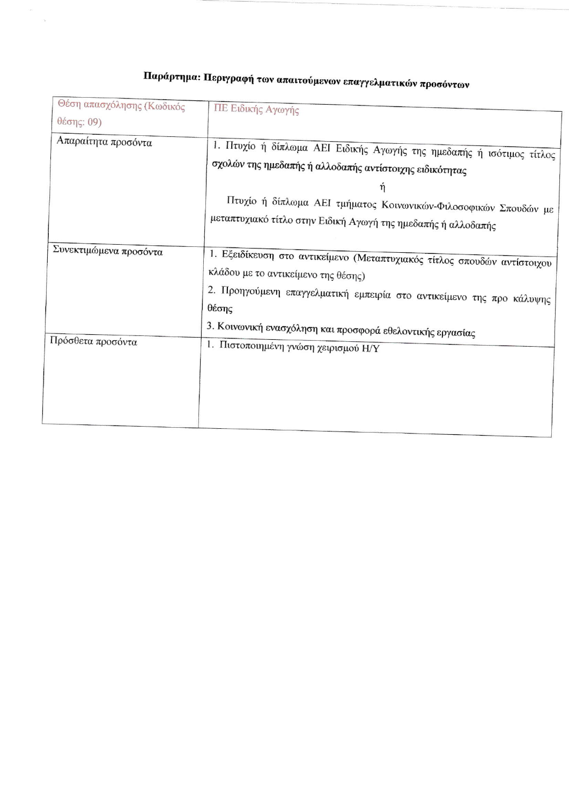| ΠΕ Ειδικής Αγωγής                                                                                                                                                                                                                                                         |
|---------------------------------------------------------------------------------------------------------------------------------------------------------------------------------------------------------------------------------------------------------------------------|
|                                                                                                                                                                                                                                                                           |
| 1. Πτυχίο ή δίπλωμα ΑΕΙ Ειδικής Αγωγής της ημεδαπής ή ισότιμος τίτλος<br>σχολών της ημεδαπής ή αλλοδαπής αντίστοιχης ειδικότητας<br>ή<br>Πτυχίο ή δίπλωμα ΑΕΙ τμήματος Κοινωνικών-Φιλοσοφικών Σπουδών με<br>μεταπτυχιακό τίτλο στην Ειδική Αγωγή της ημεδαπής ή αλλοδαπής |
| 1. Εξειδίκευση στο αντικείμενο (Μεταπτυχιακός τίτλος σπουδών αντίστοιχου<br>κλάδου με το αντικείμενο της θέσης)<br>2. Προηγούμενη επαγγελματική εμπειρία στο αντικείμενο της προ κάλυψης<br>θέσης<br>3. Κοινωνική ενασχόληση και προσφορά εθελοντικής εργασίας            |
| 1. Πιστοποιημένη γνώση χειρισμού Η/Υ                                                                                                                                                                                                                                      |
|                                                                                                                                                                                                                                                                           |

# Παράρτημα: Περιγραφή των απαιτούμενων επαγγελματικών προσόντων

is.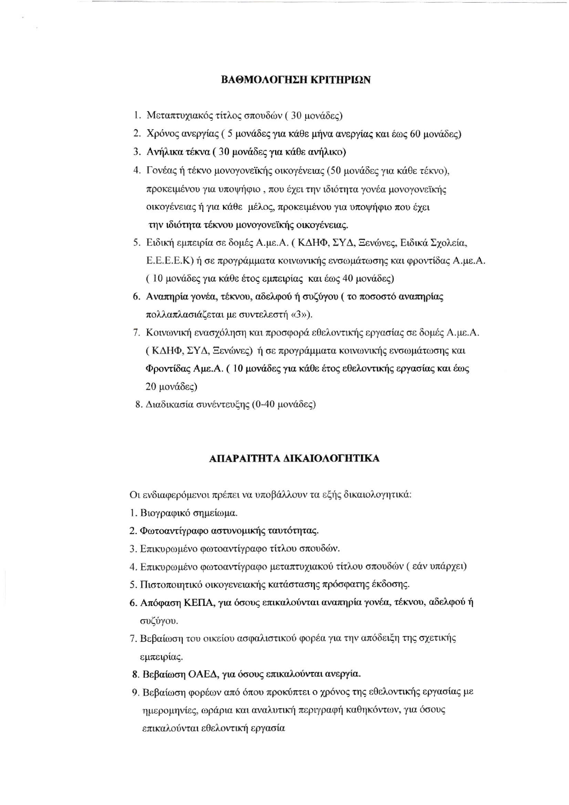## ΒΑΘΜΟΛΟΓΗΣΗ ΚΡΙΤΗΡΙΩΝ

- 1. Μεταπτυχιακός τίτλος σπουδών (30 μονάδες)
- 2. Χρόνος ανεργίας (5 μονάδες για κάθε μήνα ανεργίας και έως 60 μονάδες)
- 3. Ανήλικα τέκνα (30 μονάδες για κάθε ανήλικο)
- 4. Γονέας ή τέκνο μονογονεϊκής οικογένειας (50 μονάδες για κάθε τέκνο), προκειμένου για υποψήφιο, που έχει την ιδιότητα γονέα μονογονεϊκής οικογένειας ή για κάθε μέλος, προκειμένου για υποψήφιο που έγει την ιδιότητα τέκνου μονογονεϊκής οικογένειας.
- 5. Ειδική εμπειρία σε δομές Α.με.Α. (ΚΔΗΦ, ΣΥΔ, Ξενώνες, Ειδικά Σχολεία, Ε.Ε.Ε.Ε.Κ) ή σε προγράμματα κοινωνικής ενσωμάτωσης και φροντίδας Α.με.Α. (10 μονάδες για κάθε έτος εμπειρίας και έως 40 μονάδες)
- 6. Αναπηρία γονέα, τέκνου, αδελφού ή συζύγου (το ποσοστό αναπηρίας πολλαπλασιάζεται με συντελεστή «3»).
- 7. Κοινωνική ενασγόληση και προσφορά εθελοντικής εργασίας σε δομές Α.με.Α. (ΚΔΗΦ, ΣΥΔ, Ξενώνες) ή σε προγράμματα κοινωνικής ενσωμάτωσης και Φροντίδας Αμε.Α. (10 μονάδες για κάθε έτος εθελοντικής εργασίας και έως 20 μονάδες)
- 8. Διαδικασία συνέντευξης (0-40 μονάδες)

## ΑΠΑΡΑΙΤΗΤΑ ΔΙΚΑΙΟΛΟΓΗΤΙΚΑ

Οι ενδιαφερόμενοι πρέπει να υποβάλλουν τα εξής δικαιολογητικά:

- 1. Βιογραφικό σημείωμα.
- 2. Φωτοαντίγραφο αστυνομικής ταυτότητας.
- 3. Επικυρωμένο φωτοαντίγραφο τίτλου σπουδών.
- 4. Επικυρωμένο φωτοαντίγραφο μεταπτυχιακού τίτλου σπουδών (εάν υπάρχει)
- 5. Πιστοποιητικό οικογενειακής κατάστασης πρόσφατης έκδοσης.
- 6. Απόφαση ΚΕΠΑ, για όσους επικαλούνται αναπηρία γονέα, τέκνου, αδελφού ή συζύγου.
- 7. Βεβαίωση του οικείου ασφαλιστικού φορέα για την απόδειξη της σχετικής εμπειρίας.
- 8. Βεβαίωση ΟΑΕΔ, για όσους επικαλούνται ανεργία.
- 9. Βεβαίωση φορέων από όπου προκύπτει ο χρόνος της εθελοντικής εργασίας με ημερομηνίες, ωράρια και αναλυτική περιγραφή καθηκόντων, για όσους επικαλούνται εθελοντική εργασία